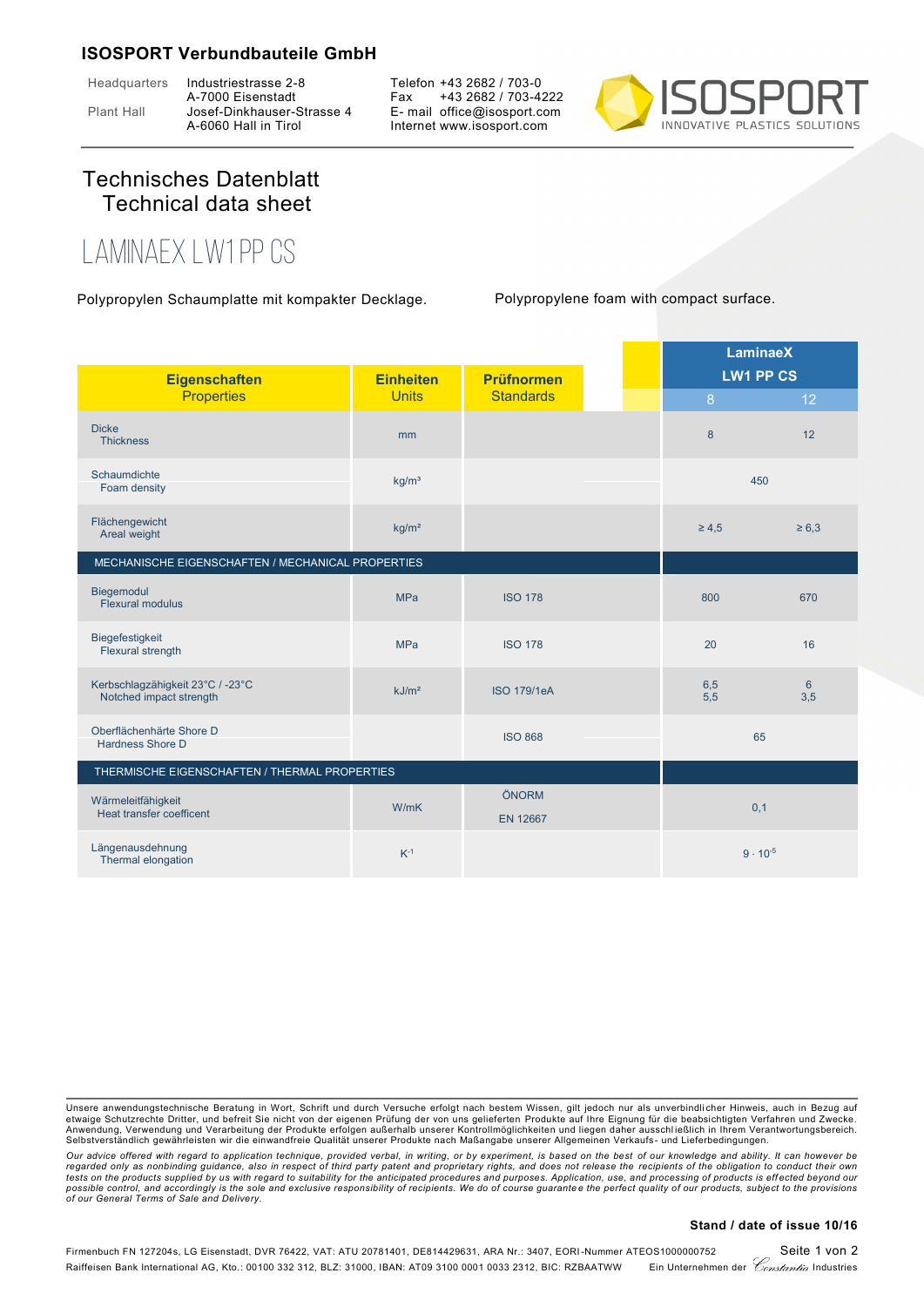## **ISOSPORT Verbundbauteile GmbH**

Headquarters Industriestrasse 2-8

A-7000 Eisenstadt Plant Hall Josef-Dinkhauser-Strasse 4 A-6060 Hall in Tirol

Telefon +43 2682 / 703-0 Fax +43 2682 / 703-4222 E- mail office@isosport.com Internet www.isosport.com



## Technisches Datenblatt Technical data sheet

## **LaminaeX LW1 PP CS**

Polypropylen Schaumplatte mit kompakter Decklage. Polypropylene foam with compact surface.

|                                                             |                                  |                                       | <b>LaminaeX</b> |                   |                                     |
|-------------------------------------------------------------|----------------------------------|---------------------------------------|-----------------|-------------------|-------------------------------------|
| <b>Eigenschaften</b><br><b>Properties</b>                   | <b>Einheiten</b><br><b>Units</b> | <b>Prüfnormen</b><br><b>Standards</b> |                 | 8                 | <b>LW1 PP CS</b><br>12 <sup>°</sup> |
| <b>Dicke</b><br><b>Thickness</b>                            | mm                               |                                       |                 | 8                 | 12                                  |
| Schaumdichte<br>Foam density                                | kg/m <sup>3</sup>                |                                       |                 | 450               |                                     |
| Flächengewicht<br>Areal weight                              | kg/m <sup>2</sup>                |                                       |                 | $\geq 4.5$        | $\geq 6.3$                          |
| MECHANISCHE EIGENSCHAFTEN / MECHANICAL PROPERTIES           |                                  |                                       |                 |                   |                                     |
| Biegemodul<br><b>Flexural modulus</b>                       | <b>MPa</b>                       | <b>ISO 178</b>                        |                 | 800               | 670                                 |
| Biegefestigkeit<br>Flexural strength                        | <b>MPa</b>                       | <b>ISO 178</b>                        |                 | 20                | 16                                  |
| Kerbschlagzähigkeit 23°C / -23°C<br>Notched impact strength | kJ/m <sup>2</sup>                | <b>ISO 179/1eA</b>                    |                 | 6,5<br>5,5        | $6 \overline{6}$<br>3,5             |
| Oberflächenhärte Shore D<br>Hardness Shore D                |                                  | <b>ISO 868</b>                        |                 | 65                |                                     |
| THERMISCHE EIGENSCHAFTEN / THERMAL PROPERTIES               |                                  |                                       |                 |                   |                                     |
| Wärmeleitfähigkeit<br>Heat transfer coefficent              | W/mK                             | ÖNORM<br><b>EN 12667</b>              |                 | 0,1               |                                     |
| Längenausdehnung<br>Thermal elongation                      | $K^{-1}$                         |                                       |                 | $9 \cdot 10^{-5}$ |                                     |

## **Stand / date of issue 10/16**

Unsere anwendungstechnische Beratung in Wort, Schrift und durch Versuche erfolgt nach bestem Wissen, gilt jedoch nur als unverbindlicher Hinweis, auch in Bezug auf<br>etwaige Schutzrechte Dritter, und befreit Sie nicht von de Anwendung, Verwendung und Verarbeitung der Produkte erfolgen außerhalb unserer Kontrollmöglichkeiten und liegen daher ausschließlich in Ihrem Verantwortungsbereich.<br>Selbstverständlich gewährleisten wir die einwandfreie Qua

*Our advice offered with regard to application technique, provided verbal, in writing, or by experiment, is based on the best of our knowledge and ability. It can however be* regarded only as nonbinding guidance, also in respect of third party patent and proprietary rights, and does not release the recipients of the obligation to conduct their own<br>tests on the products supplied by us with regar possible control, and accordingly is the sole and exclusive responsibility of recipients. We do of course guarantee the perfect quality of our products, subject to the provisions<br>of our General Terms of Sale and Delivery.